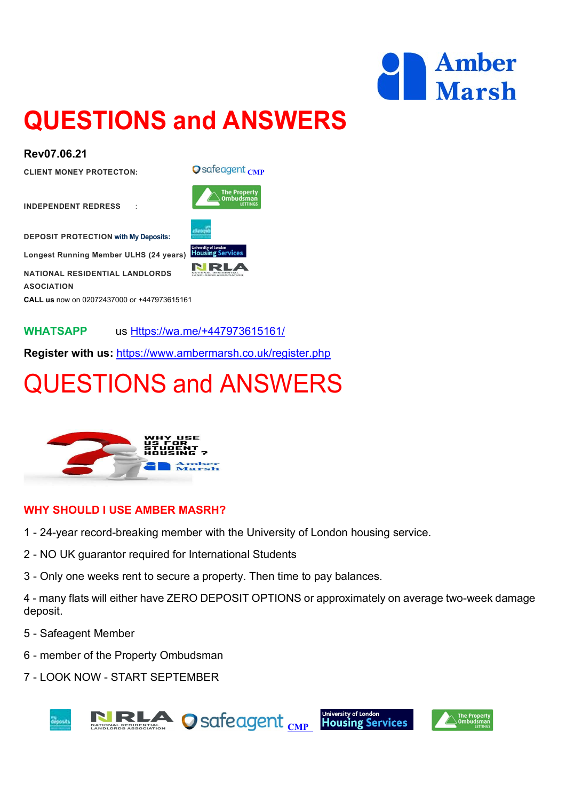

## QUESTIONS and ANSWERS

#### Rev07.06.21

CLIENT MONEY PROTECTON: Q Safe agent CMP

INDEPENDENT REDRESS :

DEPOSIT PROTECTION with My Deposits:

Longest Running Member ULHS (24 years) Housing Services

NATIONAL RESIDENTIAL LANDLORDS ASOCIATION

CALL us now on 02072437000 or +447973615161

WHATSAPP us Https://wa.me/+447973615161/

Register with us: https://www.ambermarsh.co.uk/register.php

## QUESTIONS and ANSWERS



#### WHY SHOULD I USE AMBER MASRH?

- 1 24-year record-breaking member with the University of London housing service.
- 2 NO UK guarantor required for International Students
- 3 Only one weeks rent to secure a property. Then time to pay balances.

4 - many flats will either have ZERO DEPOSIT OPTIONS or approximately on average two-week damage deposit.

- 5 Safeagent Member
- 6 member of the Property Ombudsman
- 7 LOOK NOW START SEPTEMBER







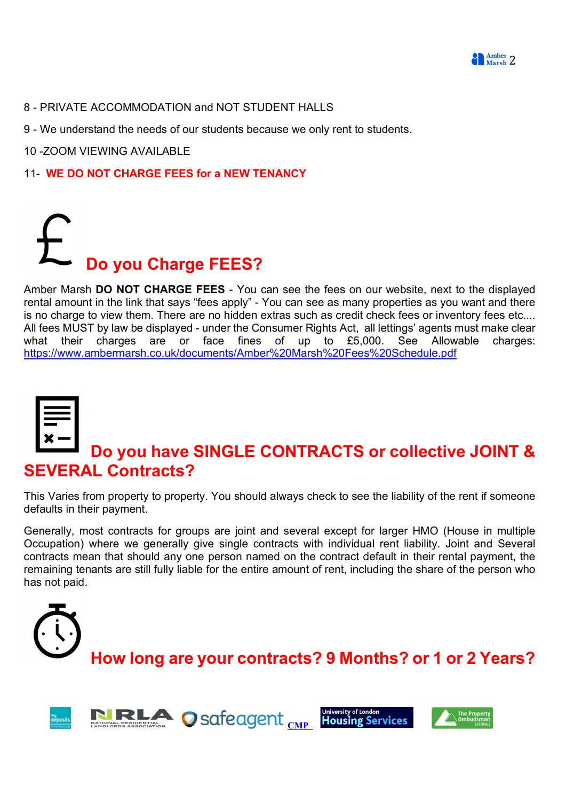

- 8 PRIVATE ACCOMMODATION and NOT STUDENT HALLS
- 9 We understand the needs of our students because we only rent to students.
- 10 -ZOOM VIEWING AVAILABLE
- 11- WE DO NOT CHARGE FEES for a NEW TENANCY



Amber Marsh DO NOT CHARGE FEES - You can see the fees on our website, next to the displayed rental amount in the link that says "fees apply" - You can see as many properties as you want and there is no charge to view them. There are no hidden extras such as credit check fees or inventory fees etc.... All fees MUST by law be displayed - under the Consumer Rights Act, all lettings' agents must make clear what their charges are or face fines of up to £5,000. See Allowable charges: https://www.ambermarsh.co.uk/documents/Amber%20Marsh%20Fees%20Schedule.pdf



## Do you have SINGLE CONTRACTS or collective JOINT & SEVERAL Contracts?

This Varies from property to property. You should always check to see the liability of the rent if someone defaults in their payment.

Generally, most contracts for groups are joint and several except for larger HMO (House in multiple Occupation) where we generally give single contracts with individual rent liability. Joint and Several contracts mean that should any one person named on the contract default in their rental payment, the remaining tenants are still fully liable for the entire amount of rent, including the share of the person who has not paid.





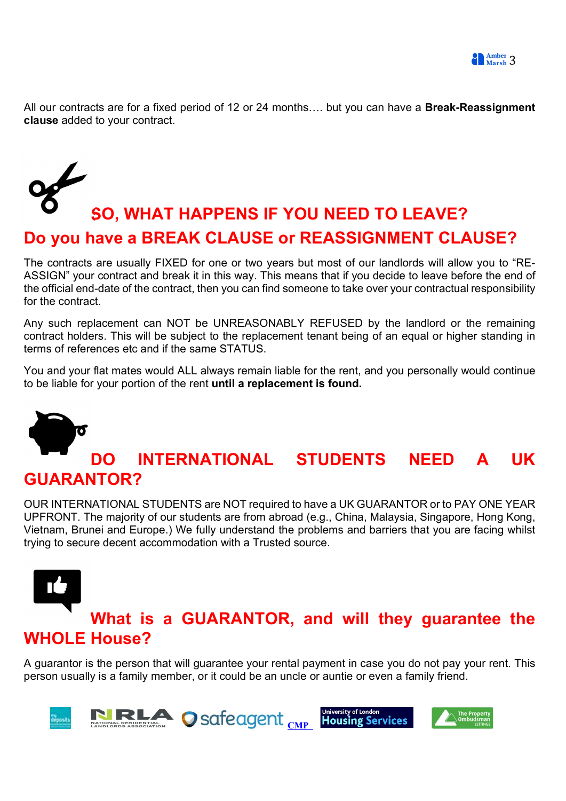All our contracts are for a fixed period of 12 or 24 months.... but you can have a **Break-Reassignment** clause added to your contract.

## SO, WHAT HAPPENS IF YOU NEED TO LEAVE? Do you have a BREAK CLAUSE or REASSIGNMENT CLAUSE?

The contracts are usually FIXED for one or two years but most of our landlords will allow you to "RE-ASSIGN" your contract and break it in this way. This means that if you decide to leave before the end of the official end-date of the contract, then you can find someone to take over your contractual responsibility for the contract.

Any such replacement can NOT be UNREASONABLY REFUSED by the landlord or the remaining contract holders. This will be subject to the replacement tenant being of an equal or higher standing in terms of references etc and if the same STATUS.

You and your flat mates would ALL always remain liable for the rent, and you personally would continue to be liable for your portion of the rent until a replacement is found.

# DO INTERNATIONAL STUDENTS NEED A UK GUARANTOR?

OUR INTERNATIONAL STUDENTS are NOT required to have a UK GUARANTOR or to PAY ONE YEAR UPFRONT. The majority of our students are from abroad (e.g., China, Malaysia, Singapore, Hong Kong, Vietnam, Brunei and Europe.) We fully understand the problems and barriers that you are facing whilst trying to secure decent accommodation with a Trusted source.

# What is a GUARANTOR, and will they guarantee the WHOLE House?

A guarantor is the person that will guarantee your rental payment in case you do not pay your rent. This person usually is a family member, or it could be an uncle or auntie or even a family friend.

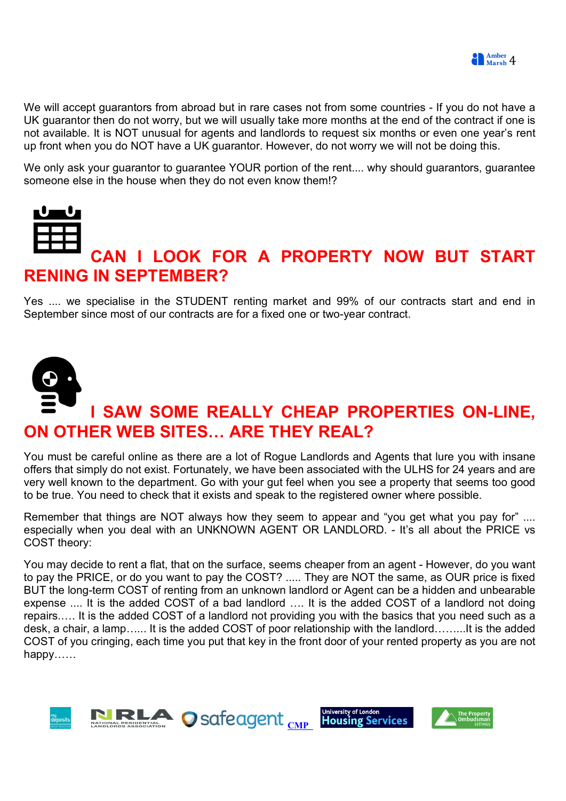We will accept guarantors from abroad but in rare cases not from some countries - If you do not have a UK guarantor then do not worry, but we will usually take more months at the end of the contract if one is not available. It is NOT unusual for agents and landlords to request six months or even one year's rent up front when you do NOT have a UK guarantor. However, do not worry we will not be doing this.

We only ask your guarantor to guarantee YOUR portion of the rent.... why should guarantors, guarantee someone else in the house when they do not even know them!?



## CAN I LOOK FOR A PROPERTY NOW BUT START RENING IN SEPTEMBER?

Yes .... we specialise in the STUDENT renting market and 99% of our contracts start and end in September since most of our contracts are for a fixed one or two-year contract.



You must be careful online as there are a lot of Rogue Landlords and Agents that lure you with insane offers that simply do not exist. Fortunately, we have been associated with the ULHS for 24 years and are very well known to the department. Go with your gut feel when you see a property that seems too good to be true. You need to check that it exists and speak to the registered owner where possible.

Remember that things are NOT always how they seem to appear and "you get what you pay for" .... especially when you deal with an UNKNOWN AGENT OR LANDLORD. - It's all about the PRICE vs COST theory:

You may decide to rent a flat, that on the surface, seems cheaper from an agent - However, do you want to pay the PRICE, or do you want to pay the COST? ..... They are NOT the same, as OUR price is fixed BUT the long-term COST of renting from an unknown landlord or Agent can be a hidden and unbearable expense .... It is the added COST of a bad landlord …. It is the added COST of a landlord not doing repairs.…. It is the added COST of a landlord not providing you with the basics that you need such as a desk, a chair, a lamp…... It is the added COST of poor relationship with the landlord……...It is the added COST of you cringing, each time you put that key in the front door of your rented property as you are not happy……

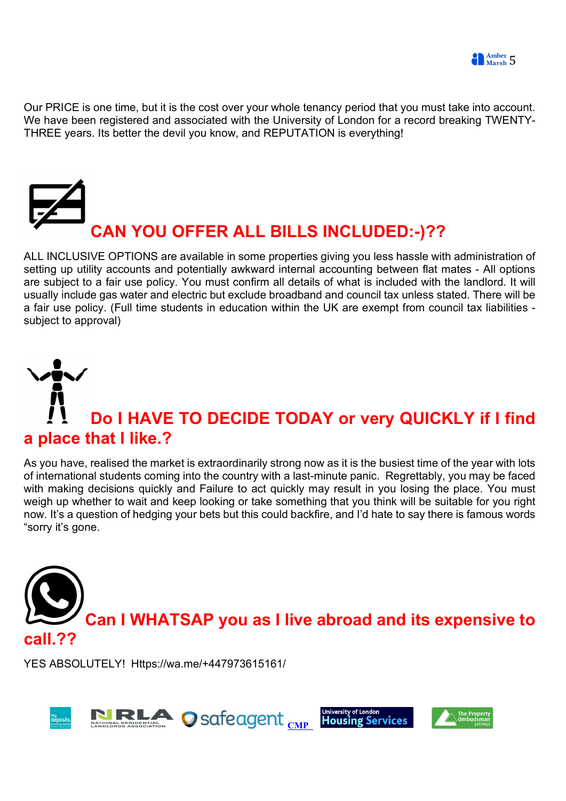

Our PRICE is one time, but it is the cost over your whole tenancy period that you must take into account. We have been registered and associated with the University of London for a record breaking TWENTY-THREE years. Its better the devil you know, and REPUTATION is everything!



ALL INCLUSIVE OPTIONS are available in some properties giving you less hassle with administration of setting up utility accounts and potentially awkward internal accounting between flat mates - All options are subject to a fair use policy. You must confirm all details of what is included with the landlord. It will usually include gas water and electric but exclude broadband and council tax unless stated. There will be a fair use policy. (Full time students in education within the UK are exempt from council tax liabilities subject to approval)

# Do I HAVE TO DECIDE TODAY or very QUICKLY if I find a place that I like.?

As you have, realised the market is extraordinarily strong now as it is the busiest time of the year with lots of international students coming into the country with a last-minute panic. Regrettably, you may be faced with making decisions quickly and Failure to act quickly may result in you losing the place. You must weigh up whether to wait and keep looking or take something that you think will be suitable for you right now. It's a question of hedging your bets but this could backfire, and I'd hate to say there is famous words "sorry it's gone.



YES ABSOLUTELY! Https://wa.me/+447973615161/

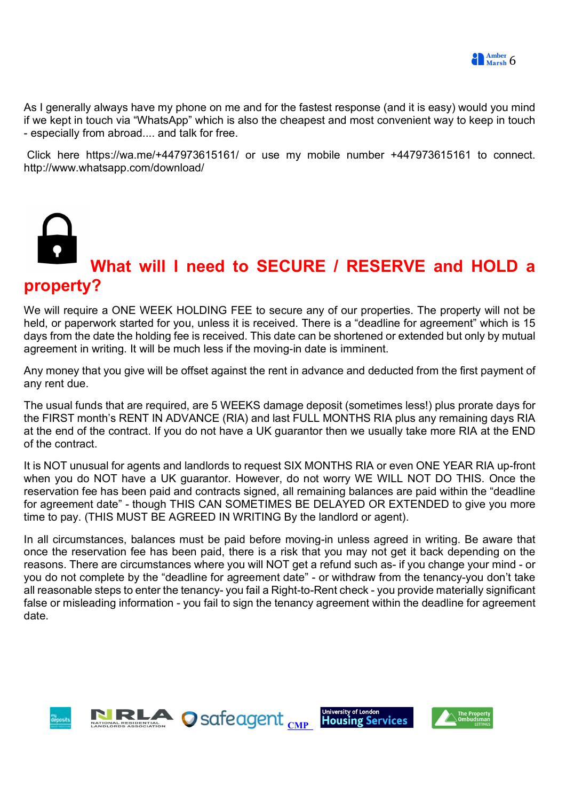**Example:** Marsh 6

As I generally always have my phone on me and for the fastest response (and it is easy) would you mind if we kept in touch via "WhatsApp" which is also the cheapest and most convenient way to keep in touch - especially from abroad.... and talk for free.

 Click here https://wa.me/+447973615161/ or use my mobile number +447973615161 to connect. http://www.whatsapp.com/download/



We will require a ONE WEEK HOLDING FEE to secure any of our properties. The property will not be held, or paperwork started for you, unless it is received. There is a "deadline for agreement" which is 15 days from the date the holding fee is received. This date can be shortened or extended but only by mutual agreement in writing. It will be much less if the moving-in date is imminent.

Any money that you give will be offset against the rent in advance and deducted from the first payment of any rent due.

The usual funds that are required, are 5 WEEKS damage deposit (sometimes less!) plus prorate days for the FIRST month's RENT IN ADVANCE (RIA) and last FULL MONTHS RIA plus any remaining days RIA at the end of the contract. If you do not have a UK guarantor then we usually take more RIA at the END of the contract.

It is NOT unusual for agents and landlords to request SIX MONTHS RIA or even ONE YEAR RIA up-front when you do NOT have a UK guarantor. However, do not worry WE WILL NOT DO THIS. Once the reservation fee has been paid and contracts signed, all remaining balances are paid within the "deadline for agreement date" - though THIS CAN SOMETIMES BE DELAYED OR EXTENDED to give you more time to pay. (THIS MUST BE AGREED IN WRITING By the landlord or agent).

In all circumstances, balances must be paid before moving-in unless agreed in writing. Be aware that once the reservation fee has been paid, there is a risk that you may not get it back depending on the reasons. There are circumstances where you will NOT get a refund such as- if you change your mind - or you do not complete by the "deadline for agreement date" - or withdraw from the tenancy-you don't take all reasonable steps to enter the tenancy- you fail a Right-to-Rent check - you provide materially significant false or misleading information - you fail to sign the tenancy agreement within the deadline for agreement date.

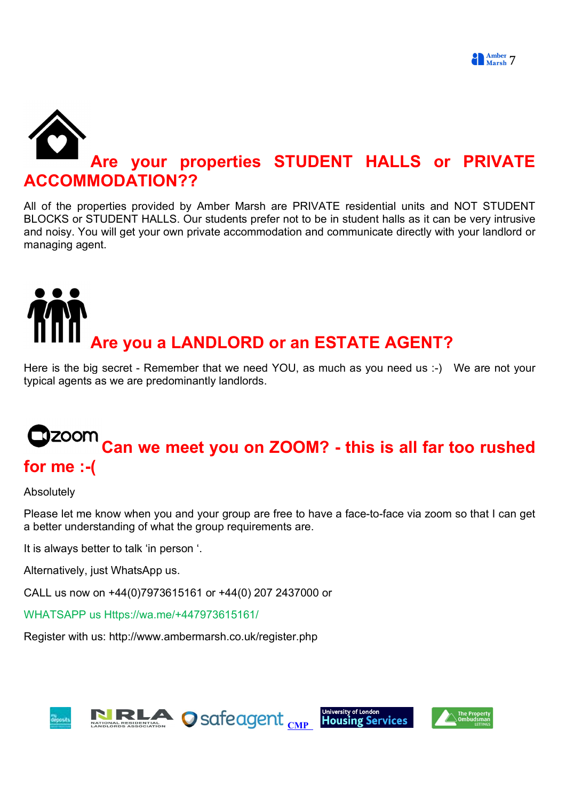# Are your properties STUDENT HALLS or PRIVATE COMMODATION??

All of the properties provided by Amber Marsh are PRIVATE residential units and NOT STUDENT BLOCKS or STUDENT HALLS. Our students prefer not to be in student halls as it can be very intrusive and noisy. You will get your own private accommodation and communicate directly with your landlord or managing agent.

# Are you a LANDLORD or an ESTATE AGENT?

Here is the big secret - Remember that we need YOU, as much as you need us :-) We are not your typical agents as we are predominantly landlords.

## $\mathsf Z$ OOM  $\mathsf C$ an we meet you on ZOOM? - this is all far too rushed for me :-(

Absolutely

Please let me know when you and your group are free to have a face-to-face via zoom so that I can get a better understanding of what the group requirements are.

It is always better to talk 'in person '.

Alternatively, just WhatsApp us.

CALL us now on +44(0)7973615161 or +44(0) 207 2437000 or

WHATSAPP us Https://wa.me/+447973615161/

Register with us: http://www.ambermarsh.co.uk/register.php

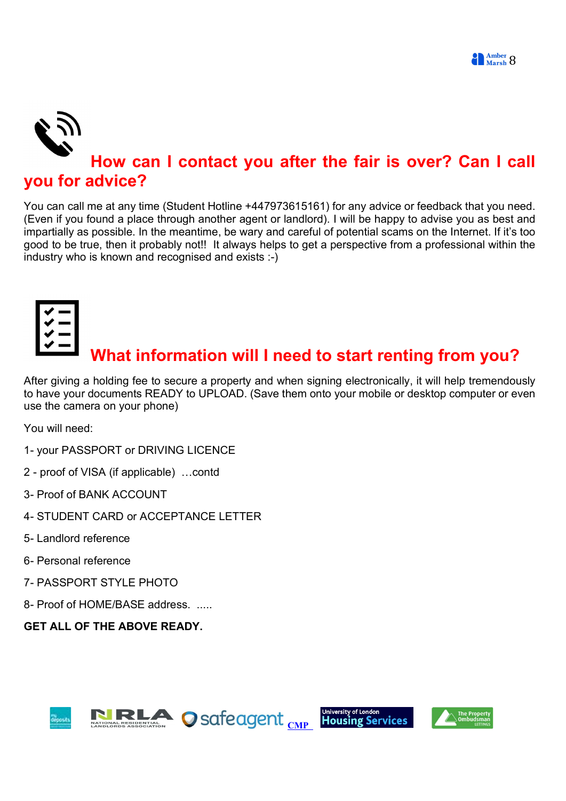

#### you for advice?

You can call me at any time (Student Hotline +447973615161) for any advice or feedback that you need. (Even if you found a place through another agent or landlord). I will be happy to advise you as best and impartially as possible. In the meantime, be wary and careful of potential scams on the Internet. If it's too good to be true, then it probably not!! It always helps to get a perspective from a professional within the industry who is known and recognised and exists :-)



## What information will I need to start renting from you?

After giving a holding fee to secure a property and when signing electronically, it will help tremendously to have your documents READY to UPLOAD. (Save them onto your mobile or desktop computer or even use the camera on your phone)

You will need:

- 1- your PASSPORT or DRIVING LICENCE
- 2 proof of VISA (if applicable) …contd
- 3- Proof of BANK ACCOUNT
- 4- STUDENT CARD or ACCEPTANCE LETTER
- 5- Landlord reference
- 6- Personal reference
- 7- PASSPORT STYLE PHOTO
- 8- Proof of HOME/BASE address. .....

#### GET ALL OF THE ABOVE READY.





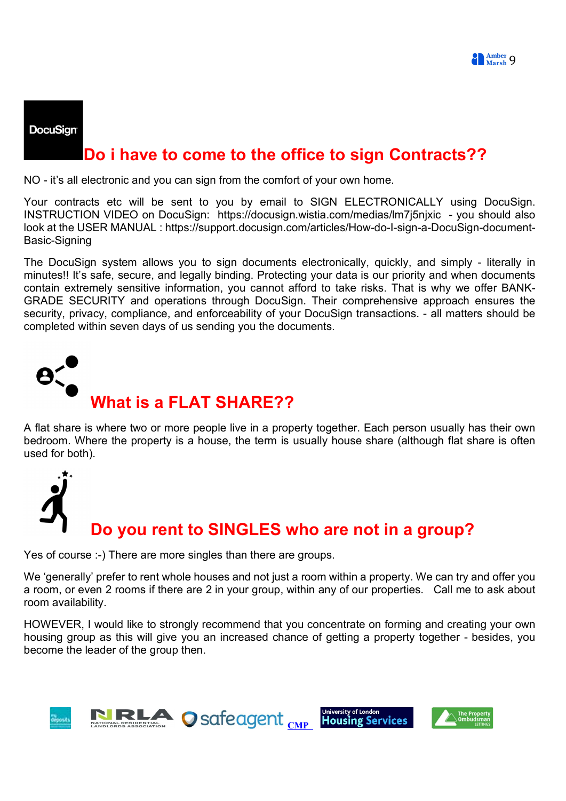

#### **DocuSign**

### Do i have to come to the office to sign Contracts??

NO - it's all electronic and you can sign from the comfort of your own home.

Your contracts etc will be sent to you by email to SIGN ELECTRONICALLY using DocuSign. INSTRUCTION VIDEO on DocuSign: https://docusign.wistia.com/medias/lm7j5njxic - you should also look at the USER MANUAL : https://support.docusign.com/articles/How-do-I-sign-a-DocuSign-document-Basic-Signing

The DocuSign system allows you to sign documents electronically, quickly, and simply - literally in minutes!! It's safe, secure, and legally binding. Protecting your data is our priority and when documents contain extremely sensitive information, you cannot afford to take risks. That is why we offer BANK-GRADE SECURITY and operations through DocuSign. Their comprehensive approach ensures the security, privacy, compliance, and enforceability of your DocuSign transactions. - all matters should be completed within seven days of us sending you the documents.



A flat share is where two or more people live in a property together. Each person usually has their own bedroom. Where the property is a house, the term is usually house share (although flat share is often used for both).



Yes of course :-) There are more singles than there are groups.

We 'generally' prefer to rent whole houses and not just a room within a property. We can try and offer you a room, or even 2 rooms if there are 2 in your group, within any of our properties. Call me to ask about room availability.

HOWEVER, I would like to strongly recommend that you concentrate on forming and creating your own housing group as this will give you an increased chance of getting a property together - besides, you become the leader of the group then.

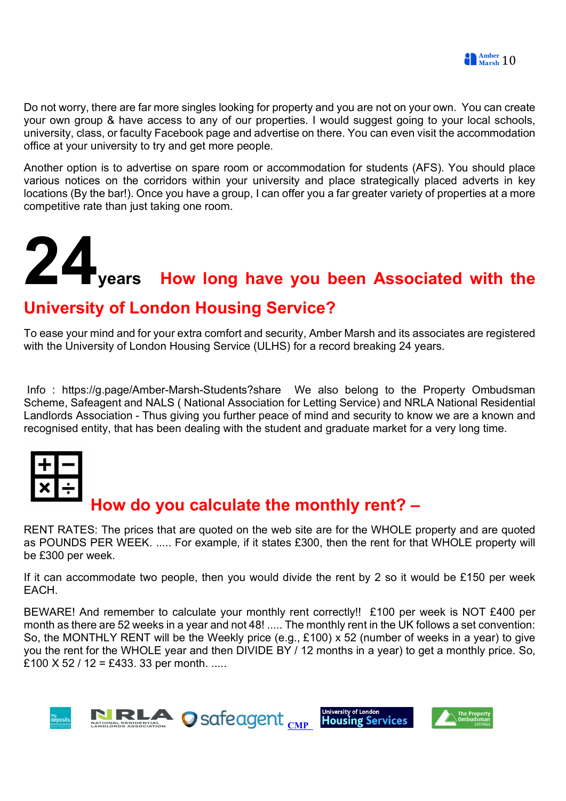

Do not worry, there are far more singles looking for property and you are not on your own. You can create your own group & have access to any of our properties. I would suggest going to your local schools, university, class, or faculty Facebook page and advertise on there. You can even visit the accommodation office at your university to try and get more people.

Another option is to advertise on spare room or accommodation for students (AFS). You should place various notices on the corridors within your university and place strategically placed adverts in key locations (By the bar!). Once you have a group, I can offer you a far greater variety of properties at a more competitive rate than just taking one room.

# years How long have you been Associated with the

## University of London Housing Service?

To ease your mind and for your extra comfort and security, Amber Marsh and its associates are registered with the University of London Housing Service (ULHS) for a record breaking 24 years.

 Info : https://g.page/Amber-Marsh-Students?share We also belong to the Property Ombudsman Scheme, Safeagent and NALS ( National Association for Letting Service) and NRLA National Residential Landlords Association - Thus giving you further peace of mind and security to know we are a known and recognised entity, that has been dealing with the student and graduate market for a very long time.



## How do you calculate the monthly rent? –

RENT RATES: The prices that are quoted on the web site are for the WHOLE property and are quoted as POUNDS PER WEEK. ..... For example, if it states £300, then the rent for that WHOLE property will be £300 per week.

If it can accommodate two people, then you would divide the rent by 2 so it would be £150 per week EACH.

BEWARE! And remember to calculate your monthly rent correctly!! £100 per week is NOT £400 per month as there are 52 weeks in a year and not 48! ..... The monthly rent in the UK follows a set convention: So, the MONTHLY RENT will be the Weekly price (e.g., £100) x 52 (number of weeks in a year) to give you the rent for the WHOLE year and then DIVIDE BY / 12 months in a year) to get a monthly price. So, £100  $X$  52 / 12 = £433. 33 per month. .....

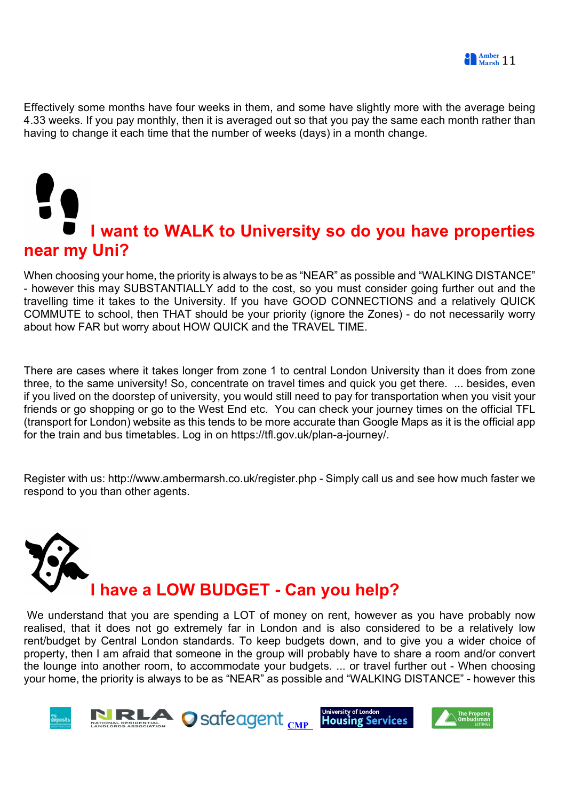Effectively some months have four weeks in them, and some have slightly more with the average being 4.33 weeks. If you pay monthly, then it is averaged out so that you pay the same each month rather than having to change it each time that the number of weeks (days) in a month change.

# I want to WALK to University so do you have properties near my Uni?

When choosing your home, the priority is always to be as "NEAR" as possible and "WALKING DISTANCE" - however this may SUBSTANTIALLY add to the cost, so you must consider going further out and the travelling time it takes to the University. If you have GOOD CONNECTIONS and a relatively QUICK COMMUTE to school, then THAT should be your priority (ignore the Zones) - do not necessarily worry about how FAR but worry about HOW QUICK and the TRAVEL TIME.

There are cases where it takes longer from zone 1 to central London University than it does from zone three, to the same university! So, concentrate on travel times and quick you get there. ... besides, even if you lived on the doorstep of university, you would still need to pay for transportation when you visit your friends or go shopping or go to the West End etc. You can check your journey times on the official TFL (transport for London) website as this tends to be more accurate than Google Maps as it is the official app for the train and bus timetables. Log in on https://tfl.gov.uk/plan-a-journey/.

Register with us: http://www.ambermarsh.co.uk/register.php - Simply call us and see how much faster we respond to you than other agents.



 We understand that you are spending a LOT of money on rent, however as you have probably now realised, that it does not go extremely far in London and is also considered to be a relatively low rent/budget by Central London standards. To keep budgets down, and to give you a wider choice of property, then I am afraid that someone in the group will probably have to share a room and/or convert the lounge into another room, to accommodate your budgets. ... or travel further out - When choosing your home, the priority is always to be as "NEAR" as possible and "WALKING DISTANCE" - however this